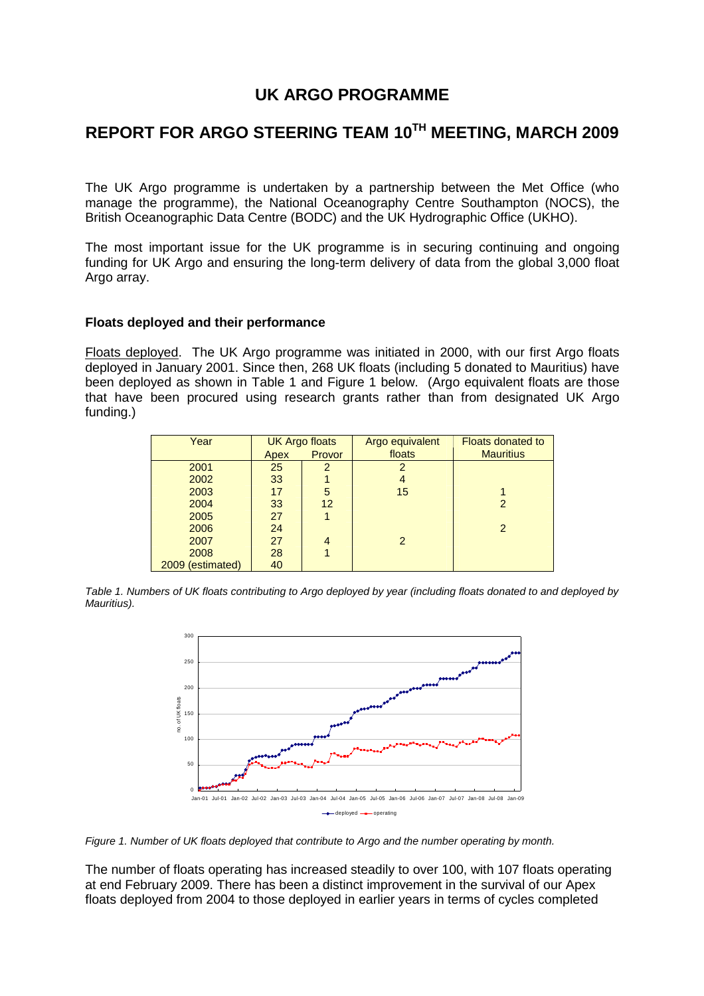# **UK ARGO PROGRAMME**

# **REPORT FOR ARGO STEERING TEAM 10TH MEETING, MARCH 2009**

The UK Argo programme is undertaken by a partnership between the Met Office (who manage the programme), the National Oceanography Centre Southampton (NOCS), the British Oceanographic Data Centre (BODC) and the UK Hydrographic Office (UKHO).

The most important issue for the UK programme is in securing continuing and ongoing funding for UK Argo and ensuring the long-term delivery of data from the global 3,000 float Argo array.

#### **Floats deployed and their performance**

Floats deployed. The UK Argo programme was initiated in 2000, with our first Argo floats deployed in January 2001. Since then, 268 UK floats (including 5 donated to Mauritius) have been deployed as shown in Table 1 and Figure 1 below. (Argo equivalent floats are those that have been procured using research grants rather than from designated UK Argo funding.)

| Year             | <b>UK Argo floats</b> |        | Argo equivalent | <b>Floats donated to</b> |
|------------------|-----------------------|--------|-----------------|--------------------------|
|                  | Apex                  | Provor | floats          | <b>Mauritius</b>         |
| 2001             | 25                    | 2      | 2               |                          |
| 2002             | 33                    |        |                 |                          |
| 2003             | 17                    | 5      | 15              |                          |
| 2004             | 33                    | 12     |                 |                          |
| 2005             | 27                    |        |                 |                          |
| 2006             | 24                    |        |                 | 2                        |
| 2007             | 27                    | 4      | $\mathcal{P}$   |                          |
| 2008             | 28                    |        |                 |                          |
| 2009 (estimated) | 40                    |        |                 |                          |

*Table 1. Numbers of UK floats contributing to Argo deployed by year (including floats donated to and deployed by Mauritius).* 



*Figure 1. Number of UK floats deployed that contribute to Argo and the number operating by month.* 

The number of floats operating has increased steadily to over 100, with 107 floats operating at end February 2009. There has been a distinct improvement in the survival of our Apex floats deployed from 2004 to those deployed in earlier years in terms of cycles completed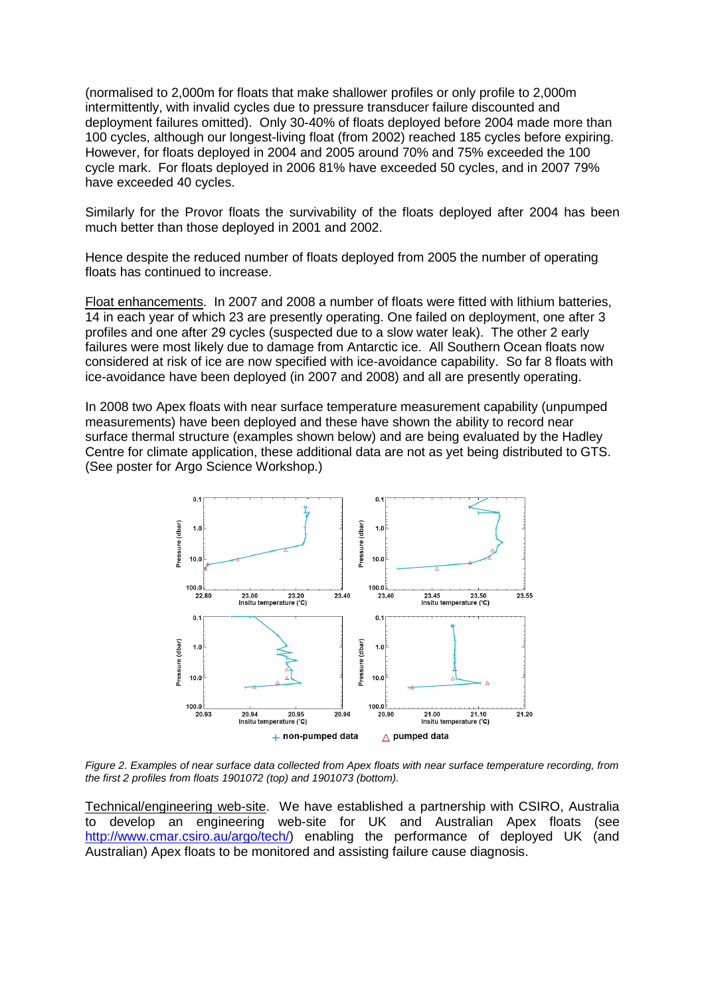(normalised to 2,000m for floats that make shallower profiles or only profile to 2,000m intermittently, with invalid cycles due to pressure transducer failure discounted and deployment failures omitted). Only 30-40% of floats deployed before 2004 made more than 100 cycles, although our longest-living float (from 2002) reached 185 cycles before expiring. However, for floats deployed in 2004 and 2005 around 70% and 75% exceeded the 100 cycle mark. For floats deployed in 2006 81% have exceeded 50 cycles, and in 2007 79% have exceeded 40 cycles.

Similarly for the Provor floats the survivability of the floats deployed after 2004 has been much better than those deployed in 2001 and 2002.

Hence despite the reduced number of floats deployed from 2005 the number of operating floats has continued to increase.

Float enhancements. In 2007 and 2008 a number of floats were fitted with lithium batteries, 14 in each year of which 23 are presently operating. One failed on deployment, one after 3 profiles and one after 29 cycles (suspected due to a slow water leak). The other 2 early failures were most likely due to damage from Antarctic ice. All Southern Ocean floats now considered at risk of ice are now specified with ice-avoidance capability. So far 8 floats with ice-avoidance have been deployed (in 2007 and 2008) and all are presently operating.

In 2008 two Apex floats with near surface temperature measurement capability (unpumped measurements) have been deployed and these have shown the ability to record near surface thermal structure (examples shown below) and are being evaluated by the Hadley Centre for climate application, these additional data are not as yet being distributed to GTS. (See poster for Argo Science Workshop.)



*Figure 2. Examples of near surface data collected from Apex floats with near surface temperature recording, from the first 2 profiles from floats 1901072 (top) and 1901073 (bottom).* 

Technical/engineering web-site. We have established a partnership with CSIRO, Australia to develop an engineering web-site for UK and Australian Apex floats (see http://www.cmar.csiro.au/argo/tech/) enabling the performance of deployed UK (and Australian) Apex floats to be monitored and assisting failure cause diagnosis.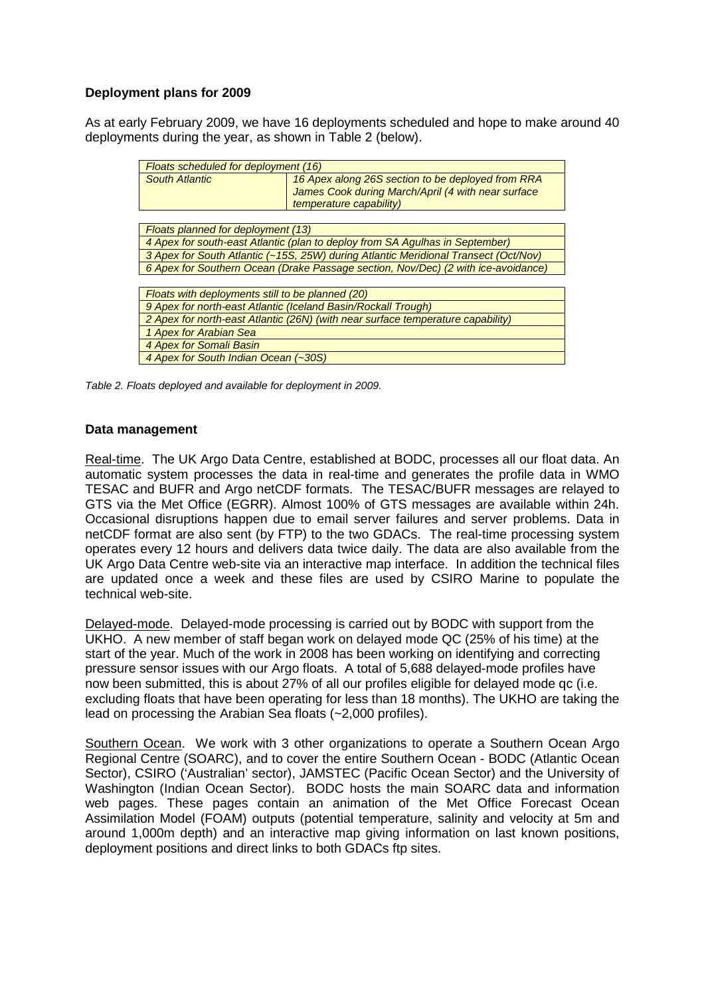# **Deployment plans for 2009**

As at early February 2009, we have 16 deployments scheduled and hope to make around 40 deployments during the year, as shown in Table 2 (below).

| Floats scheduled for deployment (16)                                                |                                                    |  |  |  |
|-------------------------------------------------------------------------------------|----------------------------------------------------|--|--|--|
| <b>South Atlantic</b>                                                               | 16 Apex along 26S section to be deployed from RRA  |  |  |  |
|                                                                                     | James Cook during March/April (4 with near surface |  |  |  |
|                                                                                     | temperature capability)                            |  |  |  |
|                                                                                     |                                                    |  |  |  |
| Floats planned for deployment (13)                                                  |                                                    |  |  |  |
| 4 Apex for south-east Atlantic (plan to deploy from SA Agulhas in September)        |                                                    |  |  |  |
| 3 Apex for South Atlantic (~15S, 25W) during Atlantic Meridional Transect (Oct/Nov) |                                                    |  |  |  |
| 6 Apex for Southern Ocean (Drake Passage section, Nov/Dec) (2 with ice-avoidance)   |                                                    |  |  |  |
|                                                                                     |                                                    |  |  |  |
| Floats with deployments still to be planned (20)                                    |                                                    |  |  |  |
| 9 Apex for north-east Atlantic (Iceland Basin/Rockall Trough)                       |                                                    |  |  |  |
| 2 Apex for north-east Atlantic (26N) (with near surface temperature capability)     |                                                    |  |  |  |
| 1 Apex for Arabian Sea                                                              |                                                    |  |  |  |
| 4 Apex for Somali Basin                                                             |                                                    |  |  |  |
| 4 Apex for South Indian Ocean (~30S)                                                |                                                    |  |  |  |

*Table 2. Floats deployed and available for deployment in 2009.* 

#### **Data management**

Real-time. The UK Argo Data Centre, established at BODC, processes all our float data. An automatic system processes the data in real-time and generates the profile data in WMO TESAC and BUFR and Argo netCDF formats. The TESAC/BUFR messages are relayed to GTS via the Met Office (EGRR). Almost 100% of GTS messages are available within 24h. Occasional disruptions happen due to email server failures and server problems. Data in netCDF format are also sent (by FTP) to the two GDACs. The real-time processing system operates every 12 hours and delivers data twice daily. The data are also available from the UK Argo Data Centre web-site via an interactive map interface. In addition the technical files are updated once a week and these files are used by CSIRO Marine to populate the technical web-site.

Delayed-mode. Delayed-mode processing is carried out by BODC with support from the UKHO. A new member of staff began work on delayed mode QC (25% of his time) at the start of the year. Much of the work in 2008 has been working on identifying and correcting pressure sensor issues with our Argo floats. A total of 5,688 delayed-mode profiles have now been submitted, this is about 27% of all our profiles eligible for delayed mode qc (i.e. excluding floats that have been operating for less than 18 months). The UKHO are taking the lead on processing the Arabian Sea floats (~2,000 profiles).

Southern Ocean. We work with 3 other organizations to operate a Southern Ocean Argo Regional Centre (SOARC), and to cover the entire Southern Ocean - BODC (Atlantic Ocean Sector), CSIRO ('Australian' sector), JAMSTEC (Pacific Ocean Sector) and the University of Washington (Indian Ocean Sector). BODC hosts the main SOARC data and information web pages. These pages contain an animation of the Met Office Forecast Ocean Assimilation Model (FOAM) outputs (potential temperature, salinity and velocity at 5m and around 1,000m depth) and an interactive map giving information on last known positions, deployment positions and direct links to both GDACs ftp sites.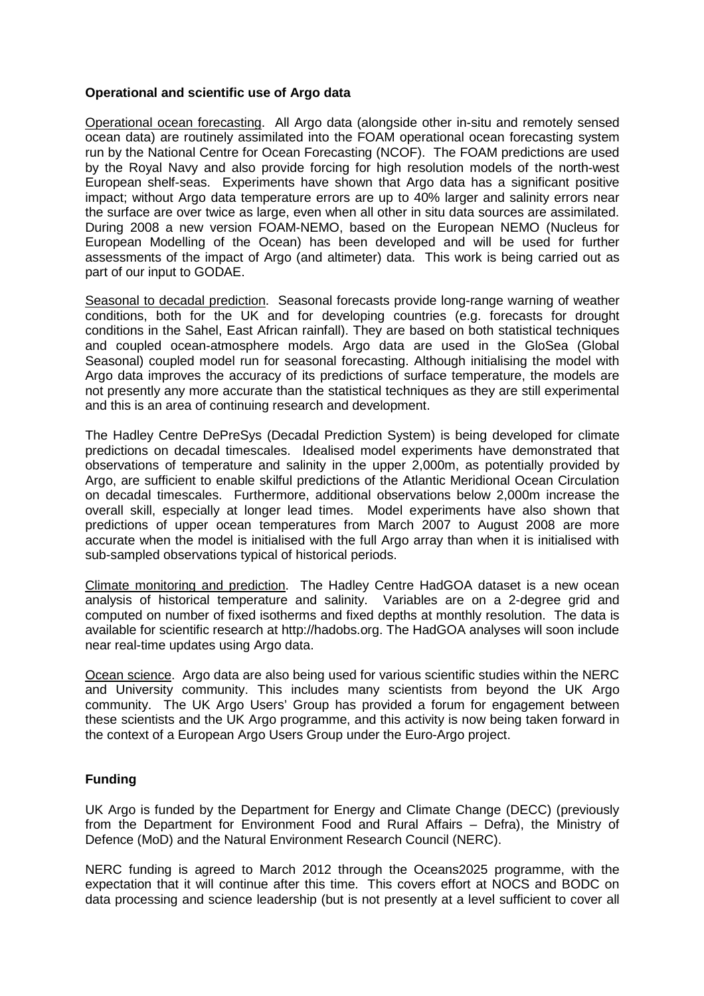# **Operational and scientific use of Argo data**

Operational ocean forecasting. All Argo data (alongside other in-situ and remotely sensed ocean data) are routinely assimilated into the FOAM operational ocean forecasting system run by the National Centre for Ocean Forecasting (NCOF). The FOAM predictions are used by the Royal Navy and also provide forcing for high resolution models of the north-west European shelf-seas. Experiments have shown that Argo data has a significant positive impact; without Argo data temperature errors are up to 40% larger and salinity errors near the surface are over twice as large, even when all other in situ data sources are assimilated. During 2008 a new version FOAM-NEMO, based on the European NEMO (Nucleus for European Modelling of the Ocean) has been developed and will be used for further assessments of the impact of Argo (and altimeter) data. This work is being carried out as part of our input to GODAE.

Seasonal to decadal prediction. Seasonal forecasts provide long-range warning of weather conditions, both for the UK and for developing countries (e.g. forecasts for drought conditions in the Sahel, East African rainfall). They are based on both statistical techniques and coupled ocean-atmosphere models. Argo data are used in the GloSea (Global Seasonal) coupled model run for seasonal forecasting. Although initialising the model with Argo data improves the accuracy of its predictions of surface temperature, the models are not presently any more accurate than the statistical techniques as they are still experimental and this is an area of continuing research and development.

The Hadley Centre DePreSys (Decadal Prediction System) is being developed for climate predictions on decadal timescales. Idealised model experiments have demonstrated that observations of temperature and salinity in the upper 2,000m, as potentially provided by Argo, are sufficient to enable skilful predictions of the Atlantic Meridional Ocean Circulation on decadal timescales. Furthermore, additional observations below 2,000m increase the overall skill, especially at longer lead times. Model experiments have also shown that predictions of upper ocean temperatures from March 2007 to August 2008 are more accurate when the model is initialised with the full Argo array than when it is initialised with sub-sampled observations typical of historical periods.

Climate monitoring and prediction. The Hadley Centre HadGOA dataset is a new ocean analysis of historical temperature and salinity. Variables are on a 2-degree grid and computed on number of fixed isotherms and fixed depths at monthly resolution. The data is available for scientific research at http://hadobs.org. The HadGOA analyses will soon include near real-time updates using Argo data.

Ocean science. Argo data are also being used for various scientific studies within the NERC and University community. This includes many scientists from beyond the UK Argo community. The UK Argo Users' Group has provided a forum for engagement between these scientists and the UK Argo programme, and this activity is now being taken forward in the context of a European Argo Users Group under the Euro-Argo project.

### **Funding**

UK Argo is funded by the Department for Energy and Climate Change (DECC) (previously from the Department for Environment Food and Rural Affairs – Defra), the Ministry of Defence (MoD) and the Natural Environment Research Council (NERC).

NERC funding is agreed to March 2012 through the Oceans2025 programme, with the expectation that it will continue after this time. This covers effort at NOCS and BODC on data processing and science leadership (but is not presently at a level sufficient to cover all